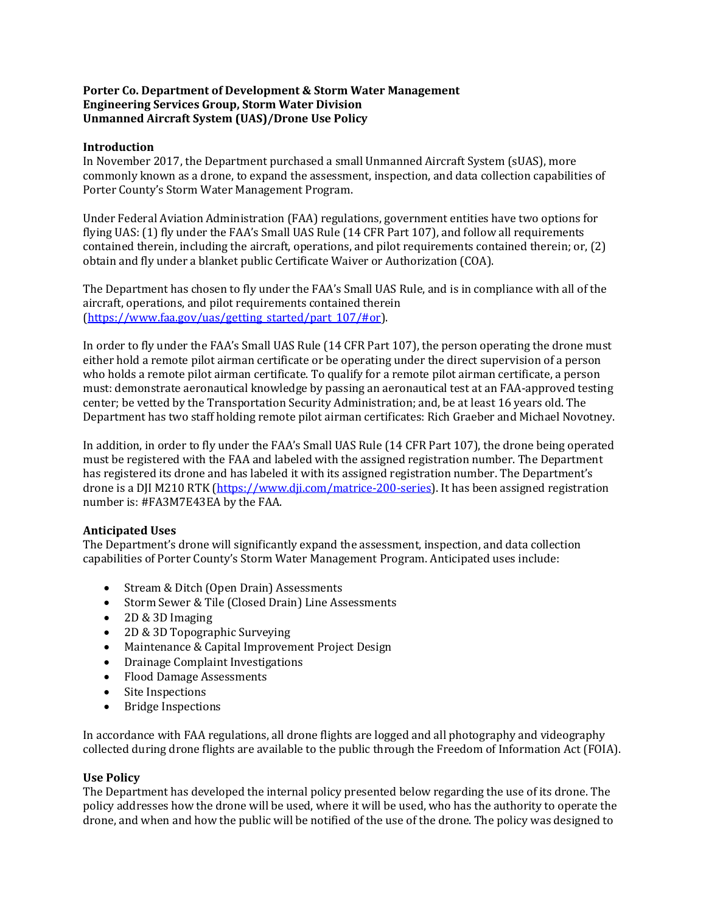#### **Porter Co. Department of Development & Storm Water Management Engineering Services Group, Storm Water Division Unmanned Aircraft System (UAS)/Drone Use Policy**

#### **Introduction**

In November 2017, the Department purchased a small Unmanned Aircraft System (sUAS), more commonly known as a drone, to expand the assessment, inspection, and data collection capabilities of Porter County's Storm Water Management Program.

Under Federal Aviation Administration (FAA) regulations, government entities have two options for flying UAS: (1) fly under the FAA's Small UAS Rule (14 CFR Part 107), and follow all requirements contained therein, including the aircraft, operations, and pilot requirements contained therein; or, (2) obtain and fly under a blanket public Certificate Waiver or Authorization (COA).

The Department has chosen to fly under the FAA's Small UAS Rule, and is in compliance with all of the aircraft, operations, and pilot requirements contained therein [\(https://www.faa.gov/uas/getting\\_started/part\\_107/#or\)](https://www.faa.gov/uas/getting_started/part_107/#or).

In order to fly under the FAA's Small UAS Rule (14 CFR Part 107), the person operating the drone must either hold a remote pilot airman certificate or be operating under the direct supervision of a person who holds a remote pilot airman certificate. To qualify for a remote pilot airman certificate, a person must: demonstrate aeronautical knowledge by passing an aeronautical test at an FAA-approved testing center; be vetted by the Transportation Security Administration; and, be at least 16 years old. The Department has two staff holding remote pilot airman certificates: Rich Graeber and Michael Novotney.

In addition, in order to fly under the FAA's Small UAS Rule (14 CFR Part 107), the drone being operated must be registered with the FAA and labeled with the assigned registration number. The Department has registered its drone and has labeled it with its assigned registration number. The Department's drone is a DJI M210 RTK (https://www.dii.com/matrice-200-series). It has been assigned registration number is: #FA3M7E43EA by the FAA.

## **Anticipated Uses**

The Department's drone will significantly expand the assessment, inspection, and data collection capabilities of Porter County's Storm Water Management Program. Anticipated uses include:

- Stream & Ditch (Open Drain) Assessments
- Storm Sewer & Tile (Closed Drain) Line Assessments
- 2D & 3D Imaging
- 2D & 3D Topographic Surveying
- Maintenance & Capital Improvement Project Design
- Drainage Complaint Investigations
- Flood Damage Assessments
- Site Inspections
- Bridge Inspections

In accordance with FAA regulations, all drone flights are logged and all photography and videography collected during drone flights are available to the public through the Freedom of Information Act (FOIA).

## **Use Policy**

The Department has developed the internal policy presented below regarding the use of its drone. The policy addresses how the drone will be used, where it will be used, who has the authority to operate the drone, and when and how the public will be notified of the use of the drone. The policy was designed to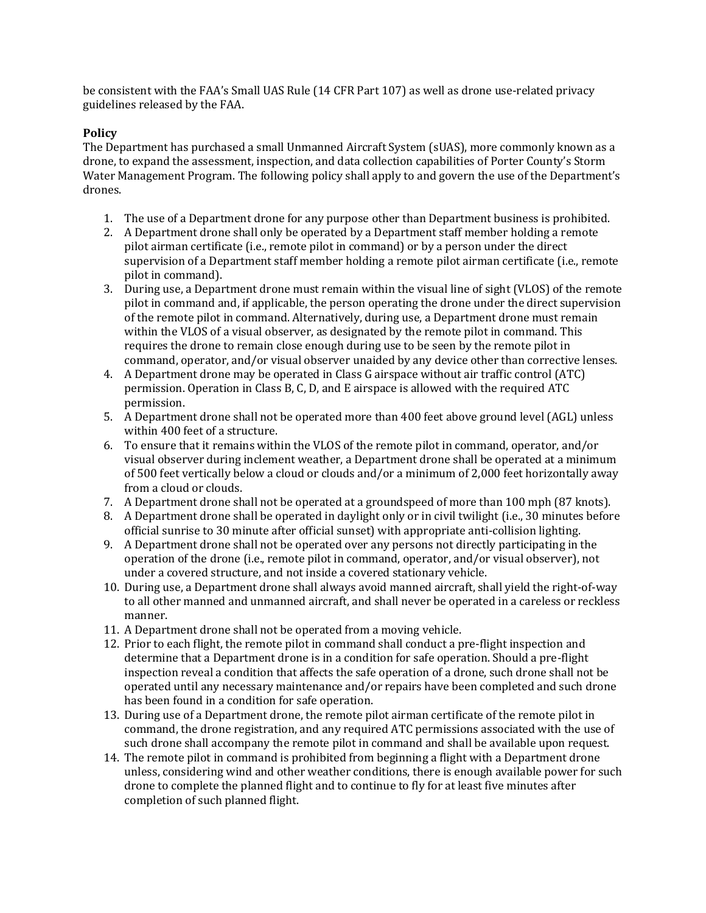be consistent with the FAA's Small UAS Rule (14 CFR Part 107) as well as drone use-related privacy guidelines released by the FAA.

# **Policy**

The Department has purchased a small Unmanned Aircraft System (sUAS), more commonly known as a drone, to expand the assessment, inspection, and data collection capabilities of Porter County's Storm Water Management Program. The following policy shall apply to and govern the use of the Department's drones.

- 1. The use of a Department drone for any purpose other than Department business is prohibited.
- 2. A Department drone shall only be operated by a Department staff member holding a remote pilot airman certificate (i.e., remote pilot in command) or by a person under the direct supervision of a Department staff member holding a remote pilot airman certificate (i.e., remote pilot in command).
- 3. During use, a Department drone must remain within the visual line of sight (VLOS) of the remote pilot in command and, if applicable, the person operating the drone under the direct supervision of the remote pilot in command. Alternatively, during use, a Department drone must remain within the VLOS of a visual observer, as designated by the remote pilot in command. This requires the drone to remain close enough during use to be seen by the remote pilot in command, operator, and/or visual observer unaided by any device other than corrective lenses.
- 4. A Department drone may be operated in Class G airspace without air traffic control (ATC) permission. Operation in Class B, C, D, and E airspace is allowed with the required ATC permission.
- 5. A Department drone shall not be operated more than 400 feet above ground level (AGL) unless within 400 feet of a structure.
- 6. To ensure that it remains within the VLOS of the remote pilot in command, operator, and/or visual observer during inclement weather, a Department drone shall be operated at a minimum of 500 feet vertically below a cloud or clouds and/or a minimum of 2,000 feet horizontally away from a cloud or clouds.
- 7. A Department drone shall not be operated at a groundspeed of more than 100 mph (87 knots).
- 8. A Department drone shall be operated in daylight only or in civil twilight (i.e., 30 minutes before official sunrise to 30 minute after official sunset) with appropriate anti-collision lighting.
- 9. A Department drone shall not be operated over any persons not directly participating in the operation of the drone (i.e., remote pilot in command, operator, and/or visual observer), not under a covered structure, and not inside a covered stationary vehicle.
- 10. During use, a Department drone shall always avoid manned aircraft, shall yield the right-of-way to all other manned and unmanned aircraft, and shall never be operated in a careless or reckless manner.
- 11. A Department drone shall not be operated from a moving vehicle.
- 12. Prior to each flight, the remote pilot in command shall conduct a pre-flight inspection and determine that a Department drone is in a condition for safe operation. Should a pre-flight inspection reveal a condition that affects the safe operation of a drone, such drone shall not be operated until any necessary maintenance and/or repairs have been completed and such drone has been found in a condition for safe operation.
- 13. During use of a Department drone, the remote pilot airman certificate of the remote pilot in command, the drone registration, and any required ATC permissions associated with the use of such drone shall accompany the remote pilot in command and shall be available upon request.
- 14. The remote pilot in command is prohibited from beginning a flight with a Department drone unless, considering wind and other weather conditions, there is enough available power for such drone to complete the planned flight and to continue to fly for at least five minutes after completion of such planned flight.